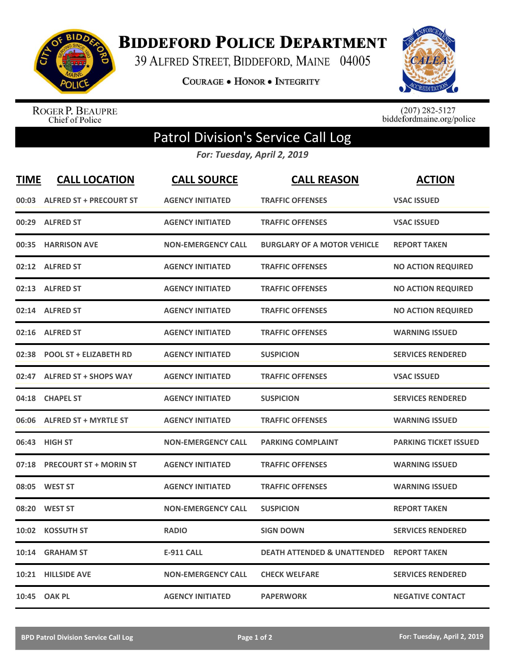

**BIDDEFORD POLICE DEPARTMENT** 

39 ALFRED STREET, BIDDEFORD, MAINE 04005

**COURAGE . HONOR . INTEGRITY** 



ROGER P. BEAUPRE<br>Chief of Police

 $(207)$  282-5127<br>biddefordmaine.org/police

## Patrol Division's Service Call Log

*For: Tuesday, April 2, 2019*

| <b>TIME</b> | <b>CALL LOCATION</b>           | <b>CALL SOURCE</b>        | <b>CALL REASON</b>                     | <b>ACTION</b>                |
|-------------|--------------------------------|---------------------------|----------------------------------------|------------------------------|
| 00:03       | <b>ALFRED ST + PRECOURT ST</b> | <b>AGENCY INITIATED</b>   | <b>TRAFFIC OFFENSES</b>                | <b>VSAC ISSUED</b>           |
| 00:29       | <b>ALFRED ST</b>               | <b>AGENCY INITIATED</b>   | <b>TRAFFIC OFFENSES</b>                | <b>VSAC ISSUED</b>           |
| 00:35       | <b>HARRISON AVE</b>            | <b>NON-EMERGENCY CALL</b> | <b>BURGLARY OF A MOTOR VEHICLE</b>     | <b>REPORT TAKEN</b>          |
| 02:12       | <b>ALFRED ST</b>               | <b>AGENCY INITIATED</b>   | <b>TRAFFIC OFFENSES</b>                | <b>NO ACTION REQUIRED</b>    |
| 02:13       | <b>ALFRED ST</b>               | <b>AGENCY INITIATED</b>   | <b>TRAFFIC OFFENSES</b>                | <b>NO ACTION REQUIRED</b>    |
|             | 02:14 ALFRED ST                | <b>AGENCY INITIATED</b>   | <b>TRAFFIC OFFENSES</b>                | <b>NO ACTION REQUIRED</b>    |
| 02:16       | <b>ALFRED ST</b>               | <b>AGENCY INITIATED</b>   | <b>TRAFFIC OFFENSES</b>                | <b>WARNING ISSUED</b>        |
| 02:38       | <b>POOL ST + ELIZABETH RD</b>  | <b>AGENCY INITIATED</b>   | <b>SUSPICION</b>                       | <b>SERVICES RENDERED</b>     |
| 02:47       | <b>ALFRED ST + SHOPS WAY</b>   | <b>AGENCY INITIATED</b>   | <b>TRAFFIC OFFENSES</b>                | <b>VSAC ISSUED</b>           |
| 04:18       | <b>CHAPEL ST</b>               | <b>AGENCY INITIATED</b>   | <b>SUSPICION</b>                       | <b>SERVICES RENDERED</b>     |
|             | 06:06 ALFRED ST + MYRTLE ST    | <b>AGENCY INITIATED</b>   | <b>TRAFFIC OFFENSES</b>                | <b>WARNING ISSUED</b>        |
| 06:43       | <b>HIGH ST</b>                 | <b>NON-EMERGENCY CALL</b> | <b>PARKING COMPLAINT</b>               | <b>PARKING TICKET ISSUED</b> |
| 07:18       | <b>PRECOURT ST + MORIN ST</b>  | <b>AGENCY INITIATED</b>   | <b>TRAFFIC OFFENSES</b>                | <b>WARNING ISSUED</b>        |
| 08:05       | <b>WEST ST</b>                 | <b>AGENCY INITIATED</b>   | <b>TRAFFIC OFFENSES</b>                | <b>WARNING ISSUED</b>        |
| 08:20       | <b>WEST ST</b>                 | <b>NON-EMERGENCY CALL</b> | <b>SUSPICION</b>                       | <b>REPORT TAKEN</b>          |
| 10:02       | <b>KOSSUTH ST</b>              | <b>RADIO</b>              | <b>SIGN DOWN</b>                       | <b>SERVICES RENDERED</b>     |
| 10:14       | <b>GRAHAM ST</b>               | <b>E-911 CALL</b>         | <b>DEATH ATTENDED &amp; UNATTENDED</b> | <b>REPORT TAKEN</b>          |
| 10:21       | <b>HILLSIDE AVE</b>            | <b>NON-EMERGENCY CALL</b> | <b>CHECK WELFARE</b>                   | <b>SERVICES RENDERED</b>     |
|             | 10:45 OAK PL                   | <b>AGENCY INITIATED</b>   | <b>PAPERWORK</b>                       | <b>NEGATIVE CONTACT</b>      |